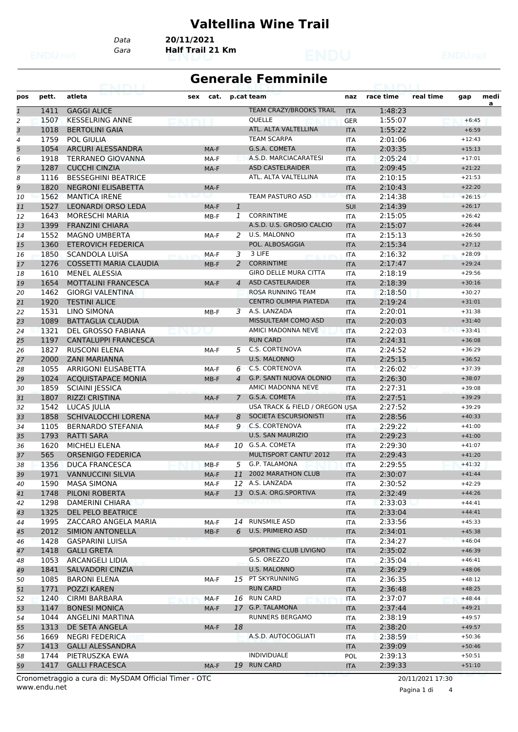#### **Valtellina Wine Trail**

*Data* **20/11/2021**

*Gara* **Half Trail 21 Km**

#### **Generale Femminile**

| pos            | pett. | atleta                                       | sex | cat.   |                | p.cat team                     | naz                      | race time | real time | gap      | medi |
|----------------|-------|----------------------------------------------|-----|--------|----------------|--------------------------------|--------------------------|-----------|-----------|----------|------|
| $\mathbf{1}$   | 1411  | <b>GAGGI ALICE</b>                           |     |        |                | <b>TEAM CRAZY/BROOKS TRAIL</b> | <b>ITA</b>               | 1:48:23   |           |          | a    |
| $\overline{a}$ | 1507  | <b>KESSELRING ANNE</b>                       |     |        |                | QUELLE                         | <b>GER</b>               | 1:55:07   |           | $+6:45$  |      |
| 3              | 1018  | <b>BERTOLINI GAIA</b>                        |     |        |                | ATL. ALTA VALTELLINA           | <b>ITA</b>               | 1:55:22   |           | $+6:59$  |      |
| 4              | 1759  | <b>POL GIULIA</b>                            |     |        |                | <b>TEAM SCARPA</b>             | <b>ITA</b>               | 2:01:06   |           | $+12:43$ |      |
| 5              | 1054  | ARCURI ALESSANDRA                            |     | MA-F   |                | G.S.A. COMETA                  | <b>ITA</b>               | 2:03:35   |           | $+15:13$ |      |
| 6              | 1918  | <b>TERRANEO GIOVANNA</b>                     |     | MA-F   |                | A.S.D. MARCIACARATESI          | <b>ITA</b>               | 2:05:24   |           | $+17:01$ |      |
| $\overline{7}$ | 1287  | <b>CUCCHI CINZIA</b>                         |     | MA-F   |                | <b>ASD CASTELRAIDER</b>        | <b>ITA</b>               | 2:09:45   |           | $+21:22$ |      |
| 8              | 1116  | <b>BESSEGHINI BEATRICE</b>                   |     |        |                | ATL. ALTA VALTELLINA           | <b>ITA</b>               | 2:10:15   |           | $+21:53$ |      |
| 9              | 1820  | <b>NEGRONI ELISABETTA</b>                    |     | MA-F   |                |                                | <b>ITA</b>               | 2:10:43   |           | $+22:20$ |      |
| 10             | 1562  | <b>MANTICA IRENE</b>                         |     |        |                | <b>TEAM PASTURO ASD</b>        | <b>ITA</b>               | 2:14:38   |           | $+26:15$ |      |
| 11             | 1527  | <b>LEONARDI ORSO LEDA</b>                    |     | MA-F   | $\mathbf{1}$   |                                | SUI                      | 2:14:39   |           | $+26:17$ |      |
| 12             | 1643  | <b>MORESCHI MARIA</b>                        |     | MB-F   | 1              | <b>CORRINTIME</b>              | <b>ITA</b>               | 2:15:05   |           | $+26:42$ |      |
| 13             | 1399  | <b>FRANZINI CHIARA</b>                       |     |        |                | A.S.D. U.S. GROSIO CALCIO      | <b>ITA</b>               | 2:15:07   |           | $+26:44$ |      |
| 14             | 1552  | <b>MAGNO UMBERTA</b>                         |     | MA-F   | $\overline{2}$ | <b>U.S. MALONNO</b>            | <b>ITA</b>               | 2:15:13   |           | $+26:50$ |      |
| 15             | 1360  | <b>ETEROVICH FEDERICA</b>                    |     |        |                | POL. ALBOSAGGIA                | <b>ITA</b>               | 2:15:34   |           | $+27:12$ |      |
| 16             | 1850  | <b>SCANDOLA LUISA</b>                        |     | MA-F   | 3              | 3 LIFE                         | <b>ITA</b>               | 2:16:32   |           | $+28:09$ |      |
| 17             | 1276  | <b>COSSETTI MARIA CLAUDIA</b>                |     | $MB-F$ | $\overline{2}$ | <b>CORRINTIME</b>              | <b>ITA</b>               | 2:17:47   |           | $+29:24$ |      |
| 18             | 1610  | <b>MENEL ALESSIA</b>                         |     |        |                | <b>GIRO DELLE MURA CITTA</b>   | <b>ITA</b>               | 2:18:19   |           | $+29:56$ |      |
| 19             | 1654  | <b>MOTTALINI FRANCESCA</b>                   |     | MA-F   | $\overline{A}$ | <b>ASD CASTELRAIDER</b>        | <b>ITA</b>               | 2:18:39   |           | $+30:16$ |      |
| 20             | 1462  | <b>GIORGI VALENTINA</b>                      |     |        |                | ROSA RUNNING TEAM              | <b>ITA</b>               | 2:18:50   |           | $+30:27$ |      |
| 21             | 1920  | <b>TESTINI ALICE</b>                         |     |        |                | <b>CENTRO OLIMPIA PIATEDA</b>  | <b>ITA</b>               | 2:19:24   |           | $+31:01$ |      |
| 22             | 1531  | <b>LINO SIMONA</b>                           |     | MB-F   |                | 3 A.S. LANZADA                 | <b>ITA</b>               | 2:20:01   |           | $+31:38$ |      |
| 23             | 1089  | <b>BATTAGLIA CLAUDIA</b>                     |     |        |                | MISSULTEAM COMO ASD            | <b>ITA</b>               | 2:20:03   |           | $+31:40$ |      |
| 24             | 1321  | <b>DEL GROSSO FABIANA</b>                    |     |        |                | AMICI MADONNA NEVE             | <b>ITA</b>               | 2:22:03   |           | $+33:41$ |      |
| 25             | 1197  | <b>CANTALUPPI FRANCESCA</b>                  |     |        |                | <b>RUN CARD</b>                | <b>ITA</b>               | 2:24:31   |           | $+36:08$ |      |
| 26             | 1827  | <b>RUSCONI ELENA</b>                         |     | MA-F   | 5              | C.S. CORTENOVA                 | <b>ITA</b>               | 2:24:52   |           | $+36:29$ |      |
| 27             | 2000  | <b>ZANI MARIANNA</b>                         |     |        |                | <b>U.S. MALONNO</b>            | <b>ITA</b>               | 2:25:15   |           | $+36:52$ |      |
| 28             | 1055  | ARRIGONI ELISABETTA                          |     | MA-F   | 6              | C.S. CORTENOVA                 | <b>ITA</b>               | 2:26:02   |           | $+37:39$ |      |
| 29             | 1024  | <b>ACQUISTAPACE MONIA</b>                    |     | $MB-F$ | $\overline{a}$ | <b>G.P. SANTI NUOVA OLONIO</b> | <b>ITA</b>               | 2:26:30   |           | $+38:07$ |      |
| 30             | 1859  | <b>SCIAINI JESSICA</b>                       |     |        |                | AMICI MADONNA NEVE             | <b>ITA</b>               | 2:27:31   |           | $+39:08$ |      |
| 31             | 1807  | <b>RIZZI CRISTINA</b>                        |     | MA-F   | $\overline{7}$ | G.S.A. COMETA                  | <b>ITA</b>               | 2:27:51   |           | $+39:29$ |      |
| 32             | 1542  | LUCAS JULIA                                  |     |        |                | USA TRACK & FIELD / OREGON USA |                          | 2:27:52   |           | $+39:29$ |      |
| 33             | 1858  | SCHIVALOCCHI LORENA                          |     | MA-F   | 8              | SOCIETA ESCURSIONISTI          | <b>ITA</b>               | 2:28:56   |           | $+40:33$ |      |
| 34             | 1105  | <b>BERNARDO STEFANIA</b>                     |     | MA-F   | 9              | <b>C.S. CORTENOVA</b>          | <b>ITA</b>               | 2:29:22   |           | $+41:00$ |      |
| 35             | 1793  | <b>RATTI SARA</b>                            |     |        |                | <b>U.S. SAN MAURIZIO</b>       | <b>ITA</b>               | 2:29:23   |           | $+41:00$ |      |
| 36             | 1620  | <b>MICHELI ELENA</b>                         |     | MA-F   | 10             | G.S.A. COMETA                  | <b>ITA</b>               | 2:29:30   |           | $+41:07$ |      |
| 37             | 565   | <b>ORSENIGO FEDERICA</b>                     |     |        |                | <b>MULTISPORT CANTU' 2012</b>  | <b>ITA</b>               | 2:29:43   |           | $+41:20$ |      |
| 38             | 1356  | <b>DUCA FRANCESCA</b>                        |     | MB-F   | 5              | <b>G.P. TALAMONA</b>           | <b>ITA</b>               | 2:29:55   |           | $+41:32$ |      |
| 39             | 1971  | <b>VANNUCCINI SILVIA</b>                     |     | MA-F   | 11             | <b>2002 MARATHON CLUB</b>      | <b>ITA</b>               | 2:30:07   |           | $+41:44$ |      |
| 40             | 1590  | <b>MASA SIMONA</b>                           |     | MA-F   |                | 12 A.S. LANZADA                | <b>ITA</b>               | 2:30:52   |           | $+42:29$ |      |
|                | 1748  | PILONI ROBERTA                               |     | MA-F   |                | 13 O.S.A. ORG.SPORTIVA         |                          | 2:32:49   |           | $+44:26$ |      |
| 41             | 1298  | DAMERINI CHIARA                              |     |        |                | enuura                         | <b>ITA</b><br><b>ITA</b> | 2:33:03   |           | $+44:41$ |      |
| 42<br>43       | 1325  | <b>DEL PELO BEATRICE</b>                     |     |        |                |                                | <b>ITA</b>               | 2:33:04   |           | $+44:41$ |      |
|                | 1995  | ZACCARO ANGELA MARIA                         |     |        | 14             | <b>RUNSMILE ASD</b>            |                          | 2:33:56   |           | $+45:33$ |      |
| 44             | 2012  | SIMION ANTONELLA                             |     | MA-F   | 6              | U.S. PRIMIERO ASD              | ITA                      | 2:34:01   |           | $+45:38$ |      |
| 45             | 1428  | <b>GASPARINI LUISA</b>                       |     | $MB-F$ |                |                                | <b>ITA</b>               | 2:34:27   |           | $+46:04$ |      |
| 46             |       |                                              |     |        |                | SPORTING CLUB LIVIGNO          | <b>ITA</b>               |           |           | $+46:39$ |      |
| 47             | 1418  | <b>GALLI GRETA</b><br><b>ARCANGELI LIDIA</b> |     |        |                | G.S. OREZZO                    | <b>ITA</b>               | 2:35:02   |           | $+46:41$ |      |
| 48             | 1053  |                                              |     |        |                | <b>U.S. MALONNO</b>            | <b>ITA</b>               | 2:35:04   |           |          |      |
| 49             | 1841  | SALVADORI CINZIA                             |     |        |                | 15 PT SKYRUNNING               | <b>ITA</b>               | 2:36:29   |           | $+48:06$ |      |
| 50             | 1085  | <b>BARONI ELENA</b>                          |     | MA-F   |                |                                | <b>ITA</b>               | 2:36:35   |           | $+48:12$ |      |
| 51             | 1771  | POZZI KAREN                                  |     |        |                | <b>RUN CARD</b>                | <b>ITA</b>               | 2:36:48   |           | $+48:25$ |      |
| 52             | 1240  | <b>CIRMI BARBARA</b>                         |     | MA-F   |                | 16 RUN CARD                    | <b>ITA</b>               | 2:37:07   |           | $+48:44$ |      |
| 53             | 1147  | <b>BONESI MONICA</b>                         |     | MA-F   |                | 17 G.P. TALAMONA               | <b>ITA</b>               | 2:37:44   |           | $+49:21$ |      |
| 54             | 1044  | ANGELINI MARTINA                             |     |        |                | RUNNERS BERGAMO                | <b>ITA</b>               | 2:38:19   |           | $+49:57$ |      |
| 55             | 1313  | DE SETA ANGELA                               |     | MA-F   | 18             |                                | <b>ITA</b>               | 2:38:20   |           | $+49:57$ |      |
| 56             | 1669  | <b>NEGRI FEDERICA</b>                        |     |        |                | A.S.D. AUTOCOGLIATI            | <b>ITA</b>               | 2:38:59   |           | $+50:36$ |      |
| 57             | 1413  | <b>GALLI ALESSANDRA</b>                      |     |        |                |                                | <b>ITA</b>               | 2:39:09   |           | $+50:46$ |      |
| 58             | 1744  | PIETRUSZKA EWA                               |     |        |                | <b>INDIVIDUALE</b>             | POL                      | 2:39:13   |           | $+50:51$ |      |
| 59             | 1417  | <b>GALLI FRACESCA</b>                        |     | MA-F   |                | 19 RUN CARD                    | <b>ITA</b>               | 2:39:33   |           | $+51:10$ |      |

www.endu.net Cronometraggio a cura di: MySDAM Official Timer - OTC 20/11/2021 17:30

Pagina 1 di 4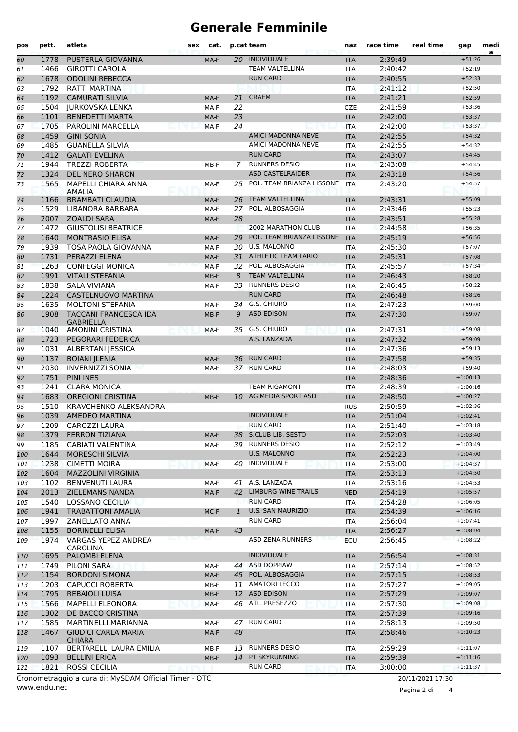# **Generale Femminile**

| pos | pett. | atleta                                                | sex | cat.   |              | p.cat team                 | naz        | race time | real time        | gap        | medi<br>a |
|-----|-------|-------------------------------------------------------|-----|--------|--------------|----------------------------|------------|-----------|------------------|------------|-----------|
| 60  | 1778  | PUSTERLA GIOVANNA                                     |     | MA-F   | 20           | INDIVIDUALE                | <b>ITA</b> | 2:39:49   |                  | $+51:26$   |           |
| 61  | 1466  | <b>GIROTTI CAROLA</b>                                 |     |        |              | <b>TEAM VALTELLINA</b>     | <b>ITA</b> | 2:40:42   |                  | $+52:19$   |           |
| 62  | 1678  | <b>ODOLINI REBECCA</b>                                |     |        |              | <b>RUN CARD</b>            | <b>ITA</b> | 2:40:55   |                  | $+52:33$   |           |
| 63  | 1792  | <b>RATTI MARTINA</b>                                  |     |        |              |                            | <b>ITA</b> | 2:41:12   |                  | $+52:50$   |           |
| 64  | 1192  | <b>CAMURATI SILVIA</b>                                |     | MA-F   | 21           | <b>CRAEM</b>               | <b>ITA</b> | 2:41:21   |                  | $+52:59$   |           |
| 65  | 1504  | <b>JURKOVSKA LENKA</b>                                |     | MA-F   | 22           |                            | <b>CZE</b> | 2:41:59   |                  | $+53:36$   |           |
| 66  | 1101  | <b>BENEDETTI MARTA</b>                                |     | MA-F   | 23           |                            | <b>ITA</b> | 2:42:00   |                  | $+53:37$   |           |
| 67  | 1705  | PAROLINI MARCELLA                                     |     | MA-F   | 24           |                            | <b>ITA</b> | 2:42:00   |                  | $+53:37$   |           |
| 68  | 1459  | <b>GINI SONIA</b>                                     |     |        |              | AMICI MADONNA NEVE         | <b>ITA</b> | 2:42:55   |                  | $+54:32$   |           |
| 69  | 1485  | <b>GUANELLA SILVIA</b>                                |     |        |              | AMICI MADONNA NEVE         | <b>ITA</b> | 2:42:55   |                  | $+54:32$   |           |
| 70  | 1412  | <b>GALATI EVELINA</b>                                 |     |        |              | <b>RUN CARD</b>            | <b>ITA</b> | 2:43:07   |                  | $+54:45$   |           |
| 71  | 1944  | <b>TREZZI ROBERTA</b>                                 |     | MB-F   | 7            | <b>RUNNERS DESIO</b>       | <b>ITA</b> | 2:43:08   |                  | $+54:45$   |           |
| 72  | 1324  | <b>DEL NERO SHARON</b>                                |     |        |              | <b>ASD CASTELRAIDER</b>    | <b>ITA</b> | 2:43:18   |                  | $+54:56$   |           |
| 73  | 1565  | MAPELLI CHIARA ANNA<br>AMALIA                         |     | MA-F   | 25           | POL. TEAM BRIANZA LISSONE  | <b>ITA</b> | 2:43:20   |                  | $+54:57$   |           |
| 74  | 1166  | <b>BRAMBATI CLAUDIA</b>                               |     | MA-F   | 26           | <b>TEAM VALTELLINA</b>     | <b>ITA</b> | 2:43:31   |                  | $+55:09$   |           |
| 75  | 1529  | LIBANORA BARBARA                                      |     | MA-F   |              | 27 POL. ALBOSAGGIA         | <b>ITA</b> | 2:43:46   |                  | $+55:23$   |           |
| 76  | 2007  | <b>ZOALDI SARA</b>                                    |     | MA-F   | 28           |                            | <b>ITA</b> | 2:43:51   |                  | $+55:28$   |           |
| 77  | 1472  | <b>GIUSTOLISI BEATRICE</b>                            |     |        |              | 2002 MARATHON CLUB         | <b>ITA</b> | 2:44:58   |                  | $+56:35$   |           |
| 78  | 1640  | <b>MONTRASIO ELISA</b>                                |     | MA-F   | 29           | POL. TEAM BRIANZA LISSONE  | <b>ITA</b> | 2:45:19   |                  | $+56:56$   |           |
| 79  | 1939  | <b>TOSA PAOLA GIOVANNA</b>                            |     | MA-F   | 30           | U.S. MALONNO               | <b>ITA</b> | 2:45:30   |                  | $+57:07$   |           |
| 80  | 1731  | PERAZZI ELENA                                         |     | MA-F   | 31           | <b>ATHLETIC TEAM LARIO</b> | <b>ITA</b> | 2:45:31   |                  | $+57:08$   |           |
| 81  | 1263  | <b>CONFEGGI MONICA</b>                                |     | MA-F   | 32           | POL. ALBOSAGGIA            | <b>ITA</b> | 2:45:57   |                  | $+57:34$   |           |
| 82  | 1991  | <b>VITALI STEFANIA</b>                                |     | $MB-F$ | 8            | <b>TEAM VALTELLINA</b>     | <b>ITA</b> | 2:46:43   |                  | $+58:20$   |           |
| 83  | 1838  | <b>SALA VIVIANA</b>                                   |     | MA-F   |              | 33 RUNNERS DESIO           | <b>ITA</b> | 2:46:45   |                  | $+58:22$   |           |
| 84  | 1224  | CASTELNUOVO MARTINA                                   |     |        |              | <b>RUN CARD</b>            | <b>ITA</b> | 2:46:48   |                  | $+58:26$   |           |
| 85  | 1635  | <b>MOLTONI STEFANIA</b>                               |     | MA-F   |              | 34 G.S. CHIURO             | <b>ITA</b> | 2:47:23   |                  | $+59:00$   |           |
| 86  | 1908  | <b>TACCANI FRANCESCA IDA</b><br><b>GABRIELLA</b>      |     | $MB-F$ | 9            | <b>ASD EDISON</b>          | <b>ITA</b> | 2:47:30   |                  | $+59:07$   |           |
| 87  | 1040  | <b>AMONINI CRISTINA</b>                               |     | MA-F   |              | 35 G.S. CHIURO             | <b>ITA</b> | 2:47:31   |                  | $+59:08$   |           |
| 88  | 1723  | PEGORARI FEDERICA                                     |     |        |              | A.S. LANZADA               | <b>ITA</b> | 2:47:32   |                  | $+59:09$   |           |
| 89  | 1031  | <b>ALBERTANI JESSICA</b>                              |     |        |              |                            | <b>ITA</b> | 2:47:36   |                  | $+59:13$   |           |
| 90  | 1137  | <b>BOIANI JLENIA</b>                                  |     | MA-F   | 36.          | <b>RUN CARD</b>            | <b>ITA</b> | 2:47:58   |                  | $+59:35$   |           |
| 91  | 2030  | <b>INVERNIZZI SONIA</b>                               |     | MA-F   |              | 37 RUN CARD                | <b>ITA</b> | 2:48:03   |                  | $+59:40$   |           |
| 92  | 1751  | <b>PINI INES</b>                                      |     |        |              |                            | <b>ITA</b> | 2:48:36   |                  | $+1:00:13$ |           |
| 93  | 1241  | <b>CLARA MONICA</b>                                   |     |        |              | <b>TEAM RIGAMONTI</b>      | <b>ITA</b> | 2:48:39   |                  | $+1:00:16$ |           |
| 94  | 1683  | <b>OREGIONI CRISTINA</b>                              |     | $MB-F$ |              | 10 AG MEDIA SPORT ASD      | <b>ITA</b> | 2:48:50   |                  | $+1:00:27$ |           |
| 95  | 1510  | KRAVCHENKO ALEKSANDRA                                 |     |        |              |                            | <b>RUS</b> | 2:50:59   |                  | $+1:02:36$ |           |
| 96  | 1039  | <b>AMEDEO MARTINA</b>                                 |     |        |              | <b>INDIVIDUALE</b>         | <b>ITA</b> | 2:51:04   |                  | $+1:02:41$ |           |
| 97  | 1209  | <b>CAROZZI LAURA</b>                                  |     |        |              | <b>RUN CARD</b>            | <b>ITA</b> | 2:51:40   |                  | $+1:03:18$ |           |
| 98  | 1379  | <b>FERRON TIZIANA</b>                                 |     | MA-F   |              | 38 S.CLUB LIB. SESTO       | <b>ITA</b> | 2:52:03   |                  | $+1:03:40$ |           |
| 99  | 1185  | CABIATI VALENTINA                                     |     | MA-F   |              | 39 RUNNERS DESIO           | <b>ITA</b> | 2:52:12   |                  | $+1:03:49$ |           |
| 100 | 1644  | <b>MORESCHI SILVIA</b>                                |     |        |              | U.S. MALONNO               | <b>ITA</b> | 2:52:23   |                  | $+1:04:00$ |           |
| 101 | 1238  | <b>CIMETTI MOIRA</b>                                  |     | MA-F   |              | 40 INDIVIDUALE             | <b>ITA</b> | 2:53:00   |                  | $+1:04:37$ |           |
| 102 | 1604  | <b>MAZZOLINI VIRGINIA</b>                             |     |        |              |                            | <b>ITA</b> | 2:53:13   |                  | $+1:04:50$ |           |
| 103 | 1102  | <b>BENVENUTI LAURA</b>                                |     | MA-F   |              | 41 A.S. LANZADA            | ITA        | 2:53:16   |                  | $+1:04:53$ |           |
| 104 | 2013  | <b>ZIELEMANS NANDA</b>                                |     | MA-F   |              | 42 LIMBURG WINE TRAILS     | <b>NED</b> | 2:54:19   |                  | $+1:05:57$ |           |
| 105 | 1540  | LOSSANO CECILIA                                       |     |        |              | <b>RUN CARD</b>            | ITA        | 2:54:28   |                  | $+1:06:05$ |           |
| 106 | 1941  | <b>TRABATTONI AMALIA</b>                              |     | MC-F   | $\mathbf{1}$ | U.S. SAN MAURIZIO          | <b>ITA</b> | 2:54:39   |                  | $+1:06:16$ |           |
| 107 | 1997  | ZANELLATO ANNA                                        |     |        |              | <b>RUN CARD</b>            | ITA        | 2:56:04   |                  | $+1:07:41$ |           |
| 108 | 1155  | <b>BORINELLI ELISA</b>                                |     | MA-F   | 43           |                            | <b>ITA</b> | 2:56:27   |                  | $+1:08:04$ |           |
| 109 | 1974  | VARGAS YEPEZ ANDREA<br>CAROLINA                       |     |        |              | ASD ZENA RUNNERS           | <b>ECU</b> | 2:56:45   |                  | $+1:08:22$ |           |
| 110 | 1695  | PALOMBI ELENA                                         |     |        |              | <b>INDIVIDUALE</b>         | <b>ITA</b> | 2:56:54   |                  | $+1:08:31$ |           |
| 111 | 1749  | PILONI SARA                                           |     | MA-F   | 44           | <b>ASD DOPPIAW</b>         | <b>ITA</b> | 2:57:14   |                  | $+1:08:52$ |           |
| 112 | 1154  | <b>BORDONI SIMONA</b>                                 |     | MA-F   |              | 45 POL. ALBOSAGGIA         | <b>ITA</b> | 2:57:15   |                  | $+1:08:53$ |           |
| 113 | 1203  | <b>CAPUCCI ROBERTA</b>                                |     | MB-F   |              | 11 AMATORI LECCO           | <b>ITA</b> | 2:57:27   |                  | $+1:09:05$ |           |
| 114 | 1795  | <b>REBAIOLI LUISA</b>                                 |     | $MB-F$ |              | 12 ASD EDISON              | <b>ITA</b> | 2:57:29   |                  | $+1:09:07$ |           |
| 115 | 1566  | <b>MAPELLI ELEONORA</b>                               |     | MA-F   |              | 46 ATL. PRESEZZO           | <b>ITA</b> | 2:57:30   |                  | $+1:09:08$ |           |
| 116 | 1302  | DE BACCO CRISTINA                                     |     |        |              |                            | <b>ITA</b> | 2:57:39   |                  | $+1:09:16$ |           |
| 117 | 1585  | MARTINELLI MARIANNA                                   |     | MA-F   |              | 47 RUN CARD                | <b>ITA</b> | 2:58:13   |                  | $+1:09:50$ |           |
| 118 | 1467  | <b>GIUDICI CARLA MARIA</b><br><b>CHIARA</b>           |     | MA-F   | 48           |                            | <b>ITA</b> | 2:58:46   |                  | $+1:10:23$ |           |
| 119 | 1107  | BERTARELLI LAURA EMILIA                               |     | MB-F   |              | 13 RUNNERS DESIO           | <b>ITA</b> | 2:59:29   |                  | $+1:11:07$ |           |
| 120 | 1093  | <b>BELLINI ERICA</b>                                  |     | MB-F   |              | 14 PT SKYRUNNING           | <b>ITA</b> | 2:59:39   |                  | $+1:11:16$ |           |
| 121 | 1821  | <b>ROSSI CECILIA</b>                                  |     |        |              | <b>RUN CARD</b>            | <b>ITA</b> | 3:00:00   |                  | $+1:11:37$ |           |
|     |       | Cronometraggio a cura di: MySDAM Official Timer - OTC |     |        |              |                            |            |           | 20/11/2021 17:30 |            |           |

www.endu.net

Pagina 2 di 4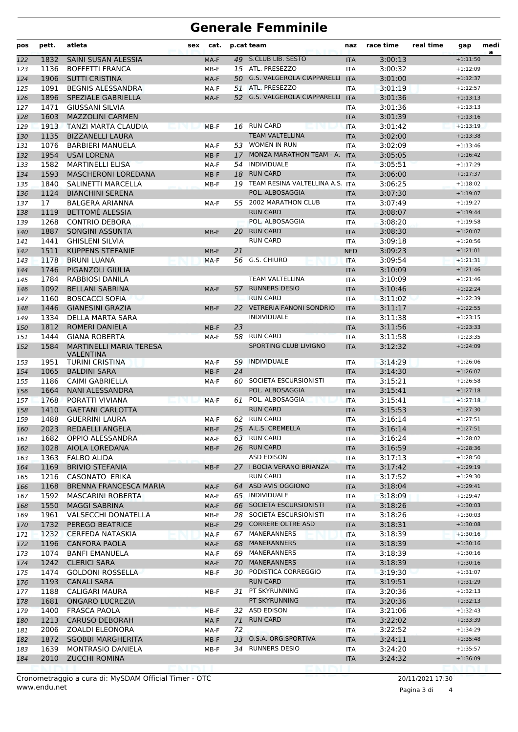# **Generale Femminile**

| pos        | pett.        | atleta                                             | sex | cat.           |          | p.cat team                                     | naz                      | race time          | real time | gap                      | medi<br>a |
|------------|--------------|----------------------------------------------------|-----|----------------|----------|------------------------------------------------|--------------------------|--------------------|-----------|--------------------------|-----------|
| 122        | 1832         | SAINI SUSAN ALESSIA                                |     | MA-F           |          | 49 S.CLUB LIB. SESTO                           | <b>ITA</b>               | 3:00:13            |           | $+1:11:50$               |           |
| 123        | 1136         | <b>BOFFETTI FRANCA</b>                             |     | MB-F           |          | 15 ATL. PRESEZZO                               | <b>ITA</b>               | 3:00:32            |           | $+1:12:09$               |           |
| 124        | 1906         | <b>SUTTI CRISTINA</b>                              |     | MA-F           |          | 50 G.S. VALGEROLA CIAPPARELLI ITA              |                          | 3:01:00            |           | $+1:12:37$               |           |
| 125        | 1091         | <b>BEGNIS ALESSANDRA</b>                           |     | MA-F           |          | 51 ATL. PRESEZZO                               | <b>ITA</b>               | 3:01:19            |           | $+1:12:57$               |           |
| 126        | 1896         | SPEZIALE GABRIELLA                                 |     | MA-F           |          | 52 G.S. VALGEROLA CIAPPARELLI                  | <b>ITA</b>               | 3:01:36            |           | $+1:13:13$               |           |
| 127        | 1471         | GIUSSANI SILVIA                                    |     |                |          |                                                | <b>ITA</b>               | 3:01:36            |           | $+1:13:13$               |           |
| 128        | 1603         | <b>MAZZOLINI CARMEN</b>                            |     |                |          |                                                | <b>ITA</b>               | 3:01:39            |           | $+1:13:16$               |           |
| 129        | 1913         | TANZI MARTA CLAUDIA<br><b>ASSAURANT</b>            |     | MB-F           |          | 16 RUN CARD                                    | <b>ITA</b>               | 3:01:42            |           | $+1:13:19$               |           |
| 130        | 1135         | <b>BIZZANELLI LAURA</b>                            |     |                |          | <b>TEAM VALTELLINA</b>                         | <b>ITA</b>               | 3:02:00            |           | $+1:13:38$               |           |
| 131        | 1076         | <b>BARBIERI MANUELA</b>                            |     | MA-F           |          | 53 WOMEN IN RUN                                | ITA                      | 3:02:09            |           | $+1:13:46$               |           |
| 132        | 1954         | <b>USAI LORENA</b>                                 |     | $MB-F$         | 17       | MONZA MARATHON TEAM - A.                       | <b>ITA</b>               | 3:05:05            |           | $+1:16:42$               |           |
| 133        | 1582         | <b>MARTINELLI ELISA</b>                            |     | MA-F           | 54       | <b>INDIVIDUALE</b>                             | <b>ITA</b>               | 3:05:51            |           | $+1:17:29$               |           |
| 134        | 1593         | <b>MASCHERONI LOREDANA</b>                         |     | MB-F           | 18       | <b>RUN CARD</b>                                | <b>ITA</b>               | 3:06:00            |           | $+1:17:37$               |           |
| 135        | 1840         | SALINETTI MARCELLA                                 |     | MB-F           |          | 19 TEAM RESINA VALTELLINA A.S. ITA             |                          | 3:06:25            |           | $+1:18:02$               |           |
| 136        | 1124         | <b>BIANCHINI SERENA</b>                            |     |                |          | POL. ALBOSAGGIA                                | <b>ITA</b>               | 3:07:30            |           | $+1:19:07$               |           |
| 137        | 17           | <b>BALGERA ARIANNA</b>                             |     | MA-F           |          | 55 2002 MARATHON CLUB                          | ITA                      | 3:07:49            |           | $+1:19:27$               |           |
| 138        | 1119         | BETTOME ALESSIA                                    |     |                |          | <b>RUN CARD</b>                                | <b>ITA</b>               | 3:08:07            |           | $+1:19:44$               |           |
| 139        | 1268         | <b>CONTRIO DEBORA</b>                              |     |                |          | POL. ALBOSAGGIA                                | <b>ITA</b>               | 3:08:20            |           | $+1:19:58$               |           |
| 140        | 1887         | <b>SONGINI ASSUNTA</b>                             |     | MB-F           | 20       | <b>RUN CARD</b>                                | <b>ITA</b>               | 3:08:30            |           | $+1:20:07$               |           |
| 141        | 1441         | <b>GHISLENI SILVIA</b>                             |     |                |          | <b>RUN CARD</b>                                | ITA                      | 3:09:18            |           | $+1:20:56$               |           |
| 142        | 1511         | <b>KUPPENS STEFANIE</b>                            |     | $MB-F$         | 21       |                                                | <b>NED</b>               | 3:09:23            |           | $+1:21:01$               |           |
| 143        | 1178         | <b>BRUNI LUANA</b>                                 |     | MA-F           |          | 56 G.S. CHIURO                                 | <b>ITA</b>               | 3:09:54            |           | $+1:21:31$               |           |
| 144        | 1746         | PIGANZOLI GIULIA                                   |     |                |          |                                                | <b>ITA</b>               | 3:10:09            |           | $+1:21:46$               |           |
| 145        | 1784         | <b>RABBIOSI DANILA</b>                             |     |                |          | <b>TEAM VALTELLINA</b><br><b>RUNNERS DESIO</b> | <b>ITA</b>               | 3:10:09            |           | $+1:21:46$               |           |
| 146        | 1092         | <b>BELLANI SABRINA</b>                             |     | MA-F           | 57       | <b>RUN CARD</b>                                | <b>ITA</b>               | 3:10:46            |           | $+1:22:24$               |           |
| 147        | 1160         | <b>BOSCACCI SOFIA</b>                              |     |                |          | 22 VETRERIA FANONI SONDRIO                     | ITA                      | 3:11:02            |           | $+1:22:39$               |           |
| 148        | 1446<br>1334 | <b>GIANESINI GRAZIA</b><br><b>DELLA MARTA SARA</b> |     | $MB-F$         |          | <b>INDIVIDUALE</b>                             | <b>ITA</b>               | 3:11:17            |           | $+1:22:55$<br>$+1:23:15$ |           |
| 149<br>150 | 1812         | ROMERI DANIELA                                     |     | $MB-F$         | 23       |                                                | <b>ITA</b><br><b>ITA</b> | 3:11:38<br>3:11:56 |           | $+1:23:33$               |           |
| 151        | 1444         | <b>GIANA ROBERTA</b>                               |     | MA-F           | 58       | <b>RUN CARD</b>                                | <b>ITA</b>               | 3:11:58            |           | $+1:23:35$               |           |
| 152        | 1584         | <b>MARTINELLI MARIA TERESA</b>                     |     |                |          | SPORTING CLUB LIVIGNO                          | <b>ITA</b>               | 3:12:32            |           | $+1:24:09$               |           |
|            |              | <b>VALENTINA</b>                                   |     |                |          |                                                |                          |                    |           |                          |           |
| 153        | 1951         | <b>TURINI CRISTINA</b>                             |     | MA-F           | 59       | <b>INDIVIDUALE</b>                             | ITA                      | 3:14:29            |           | $+1:26:06$               |           |
| 154        | 1065         | <b>BALDINI SARA</b>                                |     | $MB-F$         | 24       |                                                | <b>ITA</b>               | 3:14:30            |           | $+1:26:07$               |           |
| 155        | 1186         | <b>CAIMI GABRIELLA</b>                             |     | MA-F           |          | 60 SOCIETA ESCURSIONISTI                       | <b>ITA</b>               | 3:15:21            |           | $+1:26:58$               |           |
| 156        | 1664         | NANI ALESSANDRA                                    |     |                |          | POL. ALBOSAGGIA                                | <b>ITA</b>               | 3:15:41            |           | $+1:27:18$               |           |
| 157        | 1768         | PORATTI VIVIANA                                    |     | MA-F           | 61       | POL. ALBOSAGGIA                                | <b>ITA</b>               | 3:15:41            |           | $+1:27:18$               |           |
| 158        | 1410         | <b>GAETANI CARLOTTA</b>                            |     |                |          | <b>RUN CARD</b>                                | <b>ITA</b>               | 3:15:53            |           | $+1:27:30$               |           |
| 159        | 1488         | <b>GUERRINI LAURA</b>                              |     | MA-F           |          | 62 RUN CARD                                    | <b>ITA</b>               | 3:16:14            |           | $+1:27:51$               |           |
| 160        | 2023         | REDAELLI ANGELA                                    |     | MB-F           |          | 25 A.L.S. CREMELLA                             | <b>ITA</b>               | 3:16:14            |           | $+1:27:51$               |           |
| 161        | 1682         | OPPIO ALESSANDRA                                   |     | MA-F           |          | 63 RUN CARD                                    | ITA                      | 3:16:24            |           | $+1:28:02$               |           |
| 162        | 1028         | AIOLA LOREDANA                                     |     | MB-F           |          | 26 RUN CARD                                    | <b>ITA</b>               | 3:16:59            |           | $+1:28:36$               |           |
| 163        | 1363         | FALBO ALIDA                                        |     |                |          | ASD EDISON                                     | ITA                      | 3:17:13            |           | $+1:28:50$               |           |
| 164        | 1169         | <b>BRIVIO STEFANIA</b>                             |     | MB-F           |          | 27 I BOCIA VERANO BRIANZA                      | <b>ITA</b>               | 3:17:42            |           | $+1:29:19$               |           |
| 165        | 1216         | CASONATO ERIKA                                     |     |                |          | <b>RUN CARD</b>                                | ITA                      | 3:17:52            |           | $+1:29:30$               |           |
| 166        | 1168         | <b>BRENNA FRANCESCA MARIA</b>                      |     | MA-F           |          | 64 ASD AVIS OGGIONO                            | <b>ITA</b>               | 3:18:04            |           | $+1:29:41$               |           |
| 167        | 1592         | <b>MASCARINI ROBERTA</b>                           |     | MA-F           |          | 65 INDIVIDUALE                                 | ITA                      | 3:18:09            |           | $+1:29:47$               |           |
| 168        | 1550         | <b>MAGGI SABRINA</b>                               |     | MA-F           |          | 66 SOCIETA ESCURSIONISTI                       | <b>ITA</b>               | 3:18:26            |           | $+1:30:03$               |           |
| 169        | 1961         | VALSECCHI DONATELLA                                |     | MB-F           |          | 28 SOCIETA ESCURSIONISTI                       | ITA                      | 3:18:26            |           | $+1:30:03$               |           |
| 170        | 1732         | PEREGO BEATRICE                                    |     | $MB-F$         | 29       | <b>CORRERE OLTRE ASD</b>                       | <b>ITA</b>               | 3:18:31            |           | $+1:30:08$               |           |
| 171        | 1232         | CERFEDA NATASKIA                                   |     | MA-F           |          | 67 MANERANNERS                                 | ITA                      | 3:18:39            |           | $+1:30:16$               |           |
| 172        | 1196         | <b>CANFORA PAOLA</b>                               |     | MA-F           |          | 68 MANERANNERS                                 | <b>ITA</b>               | 3:18:39            |           | $+1:30:16$               |           |
| 173        | 1074         | <b>BANFI EMANUELA</b>                              |     | MA-F           |          | 69 MANERANNERS                                 | ITA                      | 3:18:39            |           | $+1:30:16$               |           |
| 174        | 1242         | <b>CLERICI SARA</b>                                |     | MA-F           |          | 70 MANERANNERS                                 | <b>ITA</b>               | 3:18:39            |           | $+1:30:16$               |           |
| 175        | 1474         | <b>GOLDONI ROSSELLA</b>                            |     | MB-F           |          | 30 PODISTICA CORREGGIO                         | ITA                      | 3:19:30            |           | $+1:31:07$               |           |
| 176        | 1193         | <b>CANALI SARA</b>                                 |     |                |          | <b>RUN CARD</b>                                | <b>ITA</b>               | 3:19:51            |           | $+1:31:29$               |           |
| 177        | 1188         | CALIGARI MAURA                                     |     | MB-F           |          | 31 PT SKYRUNNING                               | ITA                      | 3:20:36            |           | $+1:32:13$               |           |
| 178        | 1681         | <b>ONGARO LUCREZIA</b>                             |     |                |          | PT SKYRUNNING                                  | <b>ITA</b>               | 3:20:36            |           | $+1:32:13$               |           |
| 179        | 1400         | FRASCA PAOLA                                       |     | MB-F           |          | 32 ASD EDISON<br><b>RUN CARD</b>               | ITA                      | 3:21:06            |           | $+1:32:43$               |           |
| 180        | 1213<br>2006 | <b>CARUSO DEBORAH</b>                              |     | MA-F           | 71<br>72 |                                                | <b>ITA</b>               | 3:22:02            |           | $+1:33:39$<br>$+1:34:29$ |           |
| 181        | 1872         | ZOALDI ELEONORA<br><b>SGOBBI MARGHERITA</b>        |     | MA-F           | 33       | O.S.A. ORG.SPORTIVA                            | ITA                      | 3:22:52            |           | $+1:35:48$               |           |
| 182        | 1639         | <b>MONTRASIO DANIELA</b>                           |     | $MB-F$<br>MB-F |          | 34 RUNNERS DESIO                               | <b>ITA</b><br>ITA        | 3:24:11<br>3:24:20 |           | $+1:35:57$               |           |
| 183<br>184 | 2010         | <b>ZUCCHI ROMINA</b>                               |     |                |          |                                                | <b>ITA</b>               | 3:24:32            |           | $+1:36:09$               |           |
|            |              |                                                    |     |                |          |                                                |                          |                    |           |                          |           |
|            |              |                                                    |     |                |          |                                                |                          |                    |           |                          |           |

www.endu.net Cronometraggio a cura di: MySDAM Official Timer - OTC 20/11/2021 17:30

Pagina 3 di 4